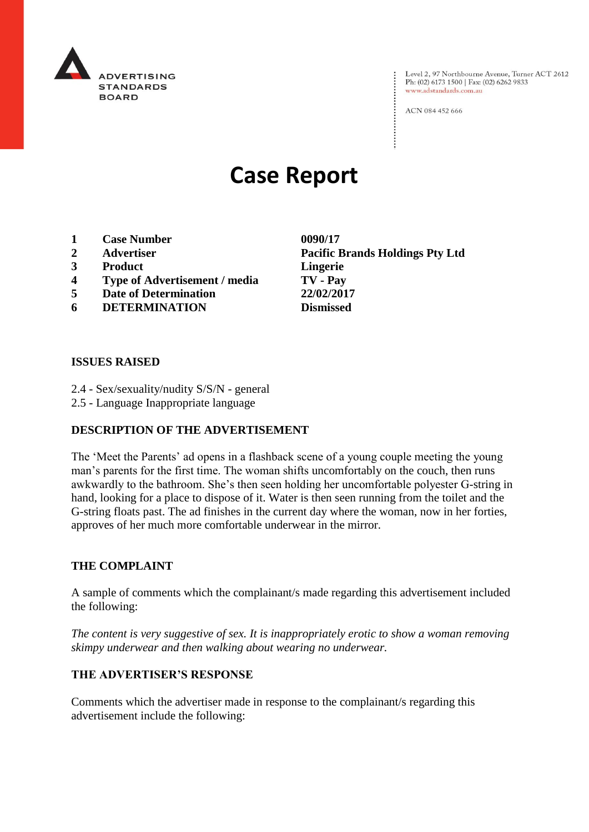

Level 2, 97 Northbourne Avenue, Turner ACT 2612<br>Ph: (02) 6173 1500 | Fax: (02) 6262 9833 www.adstandards.com.au

ACN 084 452 666

# **Case Report**

- **1 Case Number 0090/17**
- 
- **3 Product Lingerie**
- **4 Type of Advertisement / media TV - Pay**
- **5 Date of Determination 22/02/2017**
- **6 DETERMINATION Dismissed**

**2 Advertiser Pacific Brands Holdings Pty Ltd**

#### **ISSUES RAISED**

- 2.4 Sex/sexuality/nudity S/S/N general
- 2.5 Language Inappropriate language

### **DESCRIPTION OF THE ADVERTISEMENT**

The 'Meet the Parents' ad opens in a flashback scene of a young couple meeting the young man's parents for the first time. The woman shifts uncomfortably on the couch, then runs awkwardly to the bathroom. She's then seen holding her uncomfortable polyester G-string in hand, looking for a place to dispose of it. Water is then seen running from the toilet and the G-string floats past. The ad finishes in the current day where the woman, now in her forties, approves of her much more comfortable underwear in the mirror.

### **THE COMPLAINT**

A sample of comments which the complainant/s made regarding this advertisement included the following:

*The content is very suggestive of sex. It is inappropriately erotic to show a woman removing skimpy underwear and then walking about wearing no underwear.* 

### **THE ADVERTISER'S RESPONSE**

Comments which the advertiser made in response to the complainant/s regarding this advertisement include the following: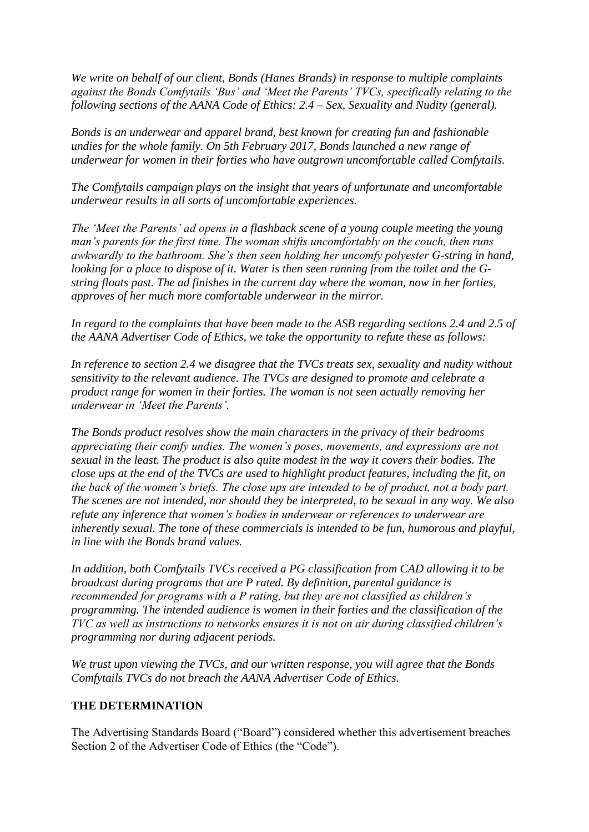*We write on behalf of our client, Bonds (Hanes Brands) in response to multiple complaints against the Bonds Comfytails 'Bus' and 'Meet the Parents' TVCs, specifically relating to the following sections of the AANA Code of Ethics: 2.4 – Sex, Sexuality and Nudity (general).*

*Bonds is an underwear and apparel brand, best known for creating fun and fashionable undies for the whole family. On 5th February 2017, Bonds launched a new range of underwear for women in their forties who have outgrown uncomfortable called Comfytails.*

*The Comfytails campaign plays on the insight that years of unfortunate and uncomfortable underwear results in all sorts of uncomfortable experiences.*

*The 'Meet the Parents' ad opens in a flashback scene of a young couple meeting the young man's parents for the first time. The woman shifts uncomfortably on the couch, then runs awkwardly to the bathroom. She's then seen holding her uncomfy polyester G-string in hand, looking for a place to dispose of it. Water is then seen running from the toilet and the Gstring floats past. The ad finishes in the current day where the woman, now in her forties, approves of her much more comfortable underwear in the mirror.*

*In regard to the complaints that have been made to the ASB regarding sections 2.4 and 2.5 of the AANA Advertiser Code of Ethics, we take the opportunity to refute these as follows:*

*In reference to section 2.4 we disagree that the TVCs treats sex, sexuality and nudity without sensitivity to the relevant audience. The TVCs are designed to promote and celebrate a product range for women in their forties. The woman is not seen actually removing her underwear in 'Meet the Parents'.*

*The Bonds product resolves show the main characters in the privacy of their bedrooms appreciating their comfy undies. The women's poses, movements, and expressions are not sexual in the least. The product is also quite modest in the way it covers their bodies. The close ups at the end of the TVCs are used to highlight product features, including the fit, on the back of the women's briefs. The close ups are intended to be of product, not a body part. The scenes are not intended, nor should they be interpreted, to be sexual in any way. We also refute any inference that women's bodies in underwear or references to underwear are inherently sexual. The tone of these commercials is intended to be fun, humorous and playful, in line with the Bonds brand values.*

*In addition, both Comfytails TVCs received a PG classification from CAD allowing it to be broadcast during programs that are P rated. By definition, parental guidance is recommended for programs with a P rating, but they are not classified as children's programming. The intended audience is women in their forties and the classification of the TVC as well as instructions to networks ensures it is not on air during classified children's programming nor during adjacent periods.*

*We trust upon viewing the TVCs, and our written response, you will agree that the Bonds Comfytails TVCs do not breach the AANA Advertiser Code of Ethics.*

## **THE DETERMINATION**

The Advertising Standards Board ("Board") considered whether this advertisement breaches Section 2 of the Advertiser Code of Ethics (the "Code").